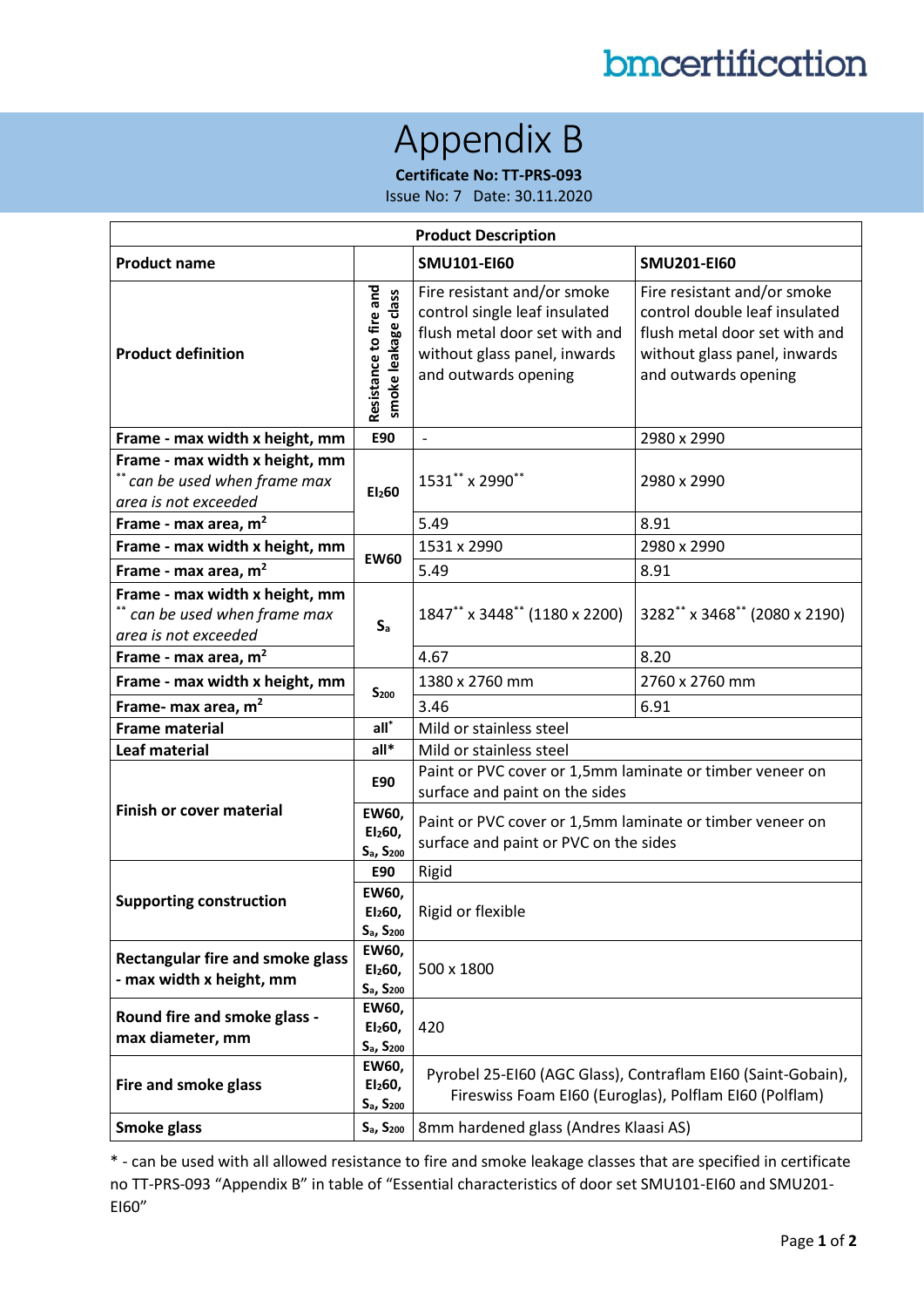## Appendix B

**Certificate No: TT-PRS-093**

Issue No: 7 Date: 30.11.2020

| <b>Product Description</b>                                                                         |                                                                   |                                                                                                                                                       |                                                                                                                                                       |  |  |  |  |
|----------------------------------------------------------------------------------------------------|-------------------------------------------------------------------|-------------------------------------------------------------------------------------------------------------------------------------------------------|-------------------------------------------------------------------------------------------------------------------------------------------------------|--|--|--|--|
| <b>Product name</b>                                                                                |                                                                   | <b>SMU101-EI60</b>                                                                                                                                    | <b>SMU201-EI60</b>                                                                                                                                    |  |  |  |  |
| Resistance to fire and<br>smoke leakage class<br><b>Product definition</b>                         |                                                                   | Fire resistant and/or smoke<br>control single leaf insulated<br>flush metal door set with and<br>without glass panel, inwards<br>and outwards opening | Fire resistant and/or smoke<br>control double leaf insulated<br>flush metal door set with and<br>without glass panel, inwards<br>and outwards opening |  |  |  |  |
| Frame - max width x height, mm                                                                     | E90                                                               | $\frac{1}{2}$                                                                                                                                         | 2980 x 2990                                                                                                                                           |  |  |  |  |
| Frame - max width x height, mm<br>$^{\ast\ast}$ can be used when frame max<br>area is not exceeded | EI <sub>2</sub> 60                                                | 1531** x 2990**                                                                                                                                       | 2980 x 2990                                                                                                                                           |  |  |  |  |
| Frame - max area, $m2$                                                                             |                                                                   | 5.49                                                                                                                                                  | 8.91                                                                                                                                                  |  |  |  |  |
| Frame - max width x height, mm                                                                     | <b>EW60</b>                                                       | 1531 x 2990                                                                                                                                           | 2980 x 2990                                                                                                                                           |  |  |  |  |
| Frame - max area, $m2$                                                                             |                                                                   | 5.49                                                                                                                                                  | 8.91                                                                                                                                                  |  |  |  |  |
| Frame - max width x height, mm<br>** can be used when frame max<br>area is not exceeded            | $S_{a}$                                                           | 1847** x 3448** (1180 x 2200)                                                                                                                         | 3282** x 3468** (2080 x 2190)                                                                                                                         |  |  |  |  |
| Frame - max area, $m2$                                                                             |                                                                   | 4.67                                                                                                                                                  | 8.20                                                                                                                                                  |  |  |  |  |
| Frame - max width x height, mm                                                                     | $S_{200}$                                                         | 1380 x 2760 mm                                                                                                                                        | 2760 x 2760 mm                                                                                                                                        |  |  |  |  |
| Frame- max area, $m2$                                                                              |                                                                   | 3.46                                                                                                                                                  | 6.91                                                                                                                                                  |  |  |  |  |
| <b>Frame material</b>                                                                              | $all^*$                                                           | Mild or stainless steel                                                                                                                               |                                                                                                                                                       |  |  |  |  |
| <b>Leaf material</b>                                                                               | $all*$                                                            | Mild or stainless steel                                                                                                                               |                                                                                                                                                       |  |  |  |  |
| <b>Finish or cover material</b>                                                                    | <b>E90</b>                                                        | Paint or PVC cover or 1,5mm laminate or timber veneer on<br>surface and paint on the sides                                                            |                                                                                                                                                       |  |  |  |  |
|                                                                                                    | EW60,<br>El <sub>2</sub> 60,<br>S <sub>a</sub> , S <sub>200</sub> | Paint or PVC cover or 1,5mm laminate or timber veneer on<br>surface and paint or PVC on the sides                                                     |                                                                                                                                                       |  |  |  |  |
| <b>Supporting construction</b>                                                                     | E90                                                               | Rigid                                                                                                                                                 |                                                                                                                                                       |  |  |  |  |
|                                                                                                    | EW60,<br>El <sub>2</sub> 60,<br>S <sub>a</sub> , S <sub>200</sub> | Rigid or flexible                                                                                                                                     |                                                                                                                                                       |  |  |  |  |
| <b>Rectangular fire and smoke glass</b><br>- max width x height, mm                                | EW60,<br>El <sub>2</sub> 60,<br>S <sub>a</sub> , S <sub>200</sub> | 500 x 1800                                                                                                                                            |                                                                                                                                                       |  |  |  |  |
| Round fire and smoke glass -<br>max diameter, mm                                                   | EW60,<br>El <sub>2</sub> 60,<br>$S_{a}$ , $S_{200}$               | 420                                                                                                                                                   |                                                                                                                                                       |  |  |  |  |
| <b>Fire and smoke glass</b>                                                                        | EW60,<br>El <sub>2</sub> 60,<br>$S_a$ , $S_{200}$                 | Pyrobel 25-EI60 (AGC Glass), Contraflam EI60 (Saint-Gobain),<br>Fireswiss Foam EI60 (Euroglas), Polflam EI60 (Polflam)                                |                                                                                                                                                       |  |  |  |  |
| <b>Smoke glass</b>                                                                                 | $S_{a}$ , $S_{200}$                                               | 8mm hardened glass (Andres Klaasi AS)                                                                                                                 |                                                                                                                                                       |  |  |  |  |

\* - can be used with all allowed resistance to fire and smoke leakage classes that are specified in certificate no TT-PRS-093 "Appendix B" in table of "Essential characteristics of door set SMU101-EI60 and SMU201- EI60"